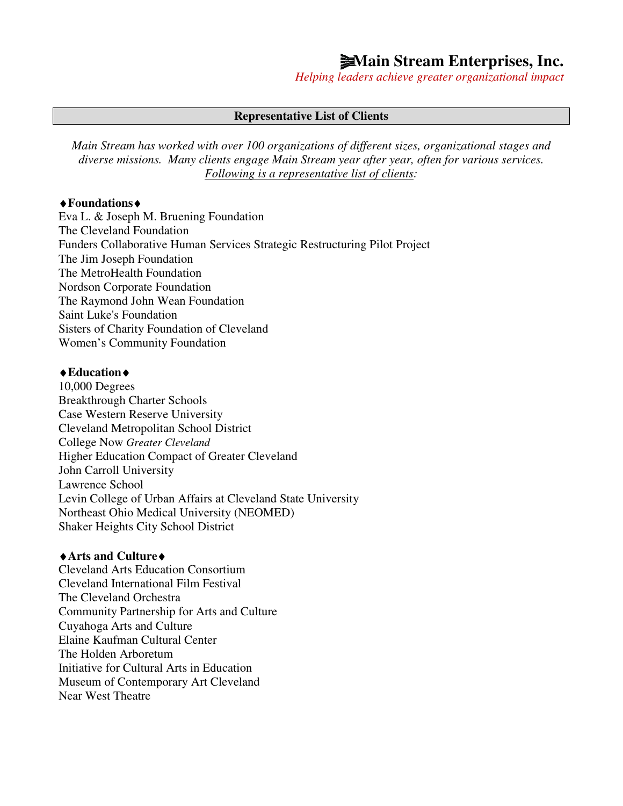# **<u>Main Stream Enterprises, Inc.</u>**

*Helping leaders achieve greater organizational impact*

#### **Representative List of Clients**

*Main Stream has worked with over 100 organizations of different sizes, organizational stages and diverse missions. Many clients engage Main Stream year after year, often for various services. Following is a representative list of clients:* 

#### ♦**Foundations**♦

Eva L. & Joseph M. Bruening Foundation The Cleveland Foundation Funders Collaborative Human Services Strategic Restructuring Pilot Project The Jim Joseph Foundation The MetroHealth Foundation Nordson Corporate Foundation The Raymond John Wean Foundation Saint Luke's Foundation Sisters of Charity Foundation of Cleveland Women's Community Foundation

#### ♦**Education**♦

10,000 Degrees Breakthrough Charter Schools Case Western Reserve University Cleveland Metropolitan School District College Now *Greater Cleveland* Higher Education Compact of Greater Cleveland John Carroll University Lawrence School Levin College of Urban Affairs at Cleveland State University Northeast Ohio Medical University (NEOMED) Shaker Heights City School District

#### ♦**Arts and Culture**♦

Cleveland Arts Education Consortium Cleveland International Film Festival The Cleveland Orchestra Community Partnership for Arts and Culture Cuyahoga Arts and Culture Elaine Kaufman Cultural Center The Holden Arboretum Initiative for Cultural Arts in Education Museum of Contemporary Art Cleveland Near West Theatre